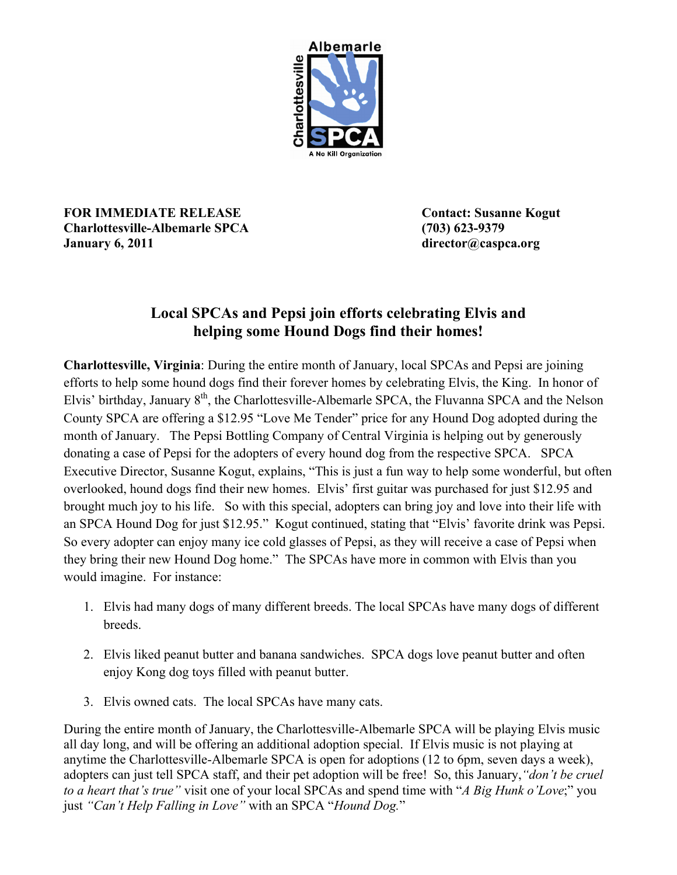

**FOR IMMEDIATE RELEASE Contact: Susanne Kogut Charlottesville-Albemarle SPCA (703) 623-9379 January 6, 2011 director@caspca.org**

## **Local SPCAs and Pepsi join efforts celebrating Elvis and helping some Hound Dogs find their homes!**

**Charlottesville, Virginia**: During the entire month of January, local SPCAs and Pepsi are joining efforts to help some hound dogs find their forever homes by celebrating Elvis, the King. In honor of Elvis' birthday, January 8<sup>th</sup>, the Charlottesville-Albemarle SPCA, the Fluvanna SPCA and the Nelson County SPCA are offering a \$12.95 "Love Me Tender" price for any Hound Dog adopted during the month of January. The Pepsi Bottling Company of Central Virginia is helping out by generously donating a case of Pepsi for the adopters of every hound dog from the respective SPCA. SPCA Executive Director, Susanne Kogut, explains, "This is just a fun way to help some wonderful, but often overlooked, hound dogs find their new homes. Elvis' first guitar was purchased for just \$12.95 and brought much joy to his life. So with this special, adopters can bring joy and love into their life with an SPCA Hound Dog for just \$12.95." Kogut continued, stating that "Elvis' favorite drink was Pepsi. So every adopter can enjoy many ice cold glasses of Pepsi, as they will receive a case of Pepsi when they bring their new Hound Dog home." The SPCAs have more in common with Elvis than you would imagine. For instance:

- 1. Elvis had many dogs of many different breeds. The local SPCAs have many dogs of different breeds.
- 2. Elvis liked peanut butter and banana sandwiches. SPCA dogs love peanut butter and often enjoy Kong dog toys filled with peanut butter.
- 3. Elvis owned cats. The local SPCAs have many cats.

During the entire month of January, the Charlottesville-Albemarle SPCA will be playing Elvis music all day long, and will be offering an additional adoption special. If Elvis music is not playing at anytime the Charlottesville-Albemarle SPCA is open for adoptions (12 to 6pm, seven days a week), adopters can just tell SPCA staff, and their pet adoption will be free! So, this January,*"don't be cruel to a heart that's true"* visit one of your local SPCAs and spend time with "*A Big Hunk o'Love*;" you just *"Can't Help Falling in Love"* with an SPCA "*Hound Dog.*"